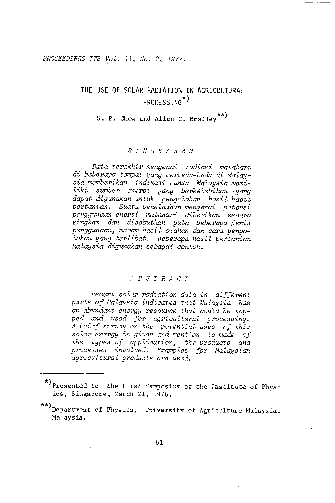PROCEEDINGS ITB Vol. 11, No. 2, 1977.

# THE USE OF SOLAR RADIATION IN AGRICULTURAL PROCESSING<sup>\*)</sup>

S. P. Chow and Allen C. Brailey<sup>\*\*</sup>)

# $R$  I N G K A S A N

Data terakhir mengenai radiasi matahari di beberapa tempat yang berbeda-beda di Malaysia memberikan indikasi bahwa Malaysia memiliki sumber enersi yang berkelebihan yang<br>dapat digunakan untuk pengolahan hasil-hasil pertanian. Suatu penelaahan mengenai potensi penggunaan enersi matahari diberikan secara singkat dan disebutkan pula beberapa jenis penggunaan, macam hasil olahan dan cara pengolahan yang terlibat. Beberapa hasil pertanian Malausia diaunakan sebagai contoh.

# $A \ B \ S \ T \ R \ A \ C \ T$

Recent solar radiation data in different parts of Malaysia indicates that Malaysia has an abundant energy resource that could be tapped and used for agricultural processing. A brief survey on the potential uses of this solar energy is given and mention is made of the types of application, the products and processes involved. Examples for Malaysian agricultural products are used.

<sup>\*)</sup> Presented to the First Symposium of the Institute of Physics, Singapore, March 21, 1976.

<sup>\*\*)</sup> Department of Physics, University of Agriculture Malaysia, Malaysia.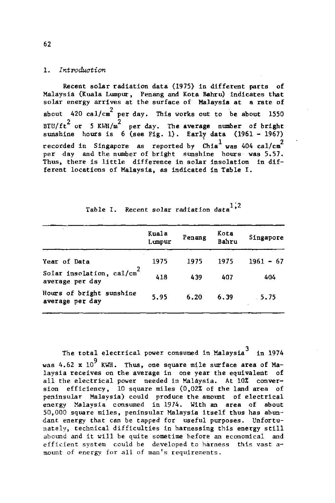#### 1. Introduction

Recent solar radiation data (1975) in different parts of Malaysia (Kuala Lumpur, Penang and Kota Bahru) indicates that solar energy arrives at the surface of Malaysia at a rate of about 420 cal/cm<sup>2</sup> per day. This works out to be about 1550 BTU/ft<sup>2</sup> or 5 KWH/m<sup>2</sup> per day. The average number of bright sunshine hours is  $6$  (see Fig. 1). Early data (1961 - 1967) recorded in Singapore as reported by Chia<sup>1</sup> was 404 cal/cm<sup>2</sup> per day and the number of bright sunshine hours was 5.57. Thus, there is little difference in solar insolation in different locations of Malaysia, as indicated in Table I.

|                                             | Kuala<br>Lumpur | Penang | Kota<br>Bahru | Singapore   |
|---------------------------------------------|-----------------|--------|---------------|-------------|
| Year of Data                                | 1975            | 1975   | 1975          | $1961 - 67$ |
| Solar insolation, cal/cm<br>average per day | 418             | 439    | 407           | 404         |
| Hours of bright sunshine<br>average per day | 5.95            | 6.20   | 6.39          | . 5.75      |

Table I. Recent solar radiation data<sup>1,2</sup>

The total electrical power consumed in Malaysia<sup>3</sup> in 1974 was 4.62 x  $10^9$  KWH. Thus, one square mile surface area of Malaysia receives on the average in one year the equivalent of all the electrical power needed in Malaysia. At 10% conversion efficiency. 10 square miles (0.02% of the land area of peninsular Malaysia) could produce the amount of electrical energy Malaysia consumed in 1974. With an area of about 50,000 square miles, peninsular Malaysia itself thus has abundant energy that can be tapped for useful purposes. Unfortunately, technical difficulties in harnessing this energy still abound and it will be quite sometime before an economical and efficient system could be developed to harness this vast amount of energy for all of man's requirements.

62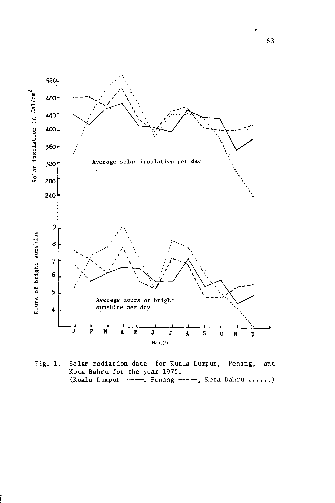

Fig. 1. Solar radiation data for Kuala Lumpur, Penang, and Kota Bahru for the year 1975. (Kuala Lumpur ----, Penang ----, Kota Bahru ......)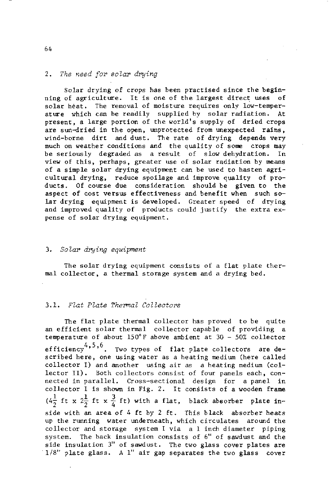# 2. The need for solar drying

Solar drying of crops has been practised since the beginning of agriculture. It is one of the largest direct uses of solar heat. The removal of moisture requires only low-temperature which can be readily supplied by solar radiation. At present, a large portion of the world's supply of dried crops are sun-dried in the open, unprotected from unexpected rains, wind-borne dirt and dust. The rate of drying depends very much on weather conditions and the quality of some crops may be seriously degraded as a result of slow dehydration. In view of this, perhaps, greater use of solar radiation by means of a simple solar drying equipment can be used to hasten agricultural drying, reduce spoilage and improve quality of products. Of course due consideration should be given to the aspect of cost versus effectiveness and benefit when such solar drying equipment is developed. Greater speed of drying and improved quality of products could justify the extra expense of solar drying equipment.

# 3. Solar drying equipment

The solar drying equipment consists of a flat plate thermal collector, a thermal storage system and a drying bed.

# 3.1. Flat Plate Thermal Collectors

The flat plate thermal collector has proved to be quite an efficient solar thermal collector capable of providing a temperature of about 150°F above ambient at 30 - 50% collector efficiency<sup>4,5,6</sup>. Two types of flat plate collectors are described here, one using water as a heating medium (here called collector I) and another using air as a heating medium (collector II). Both collectors consist of four panels each, connected in parallel. Cross-sectional design for a panel in collector I is shown in Fig. 2. It consists of a wooden frame  $(4\frac{1}{2}$  ft x  $2\frac{1}{2}$  ft x  $\frac{3}{4}$  ft) with a flat, black absorber plate inside with an area of 4 ft by 2 ft. This black absorber heats up the running water underneath, which circulates around the collector and storage system I via a 1 inch diameter piping system. The back insulation consists of 6" of sawdust and the side insulation 3" of sawdust. The two glass cover plates are 1/8" plate glass. A 1" air gap separates the two glass cover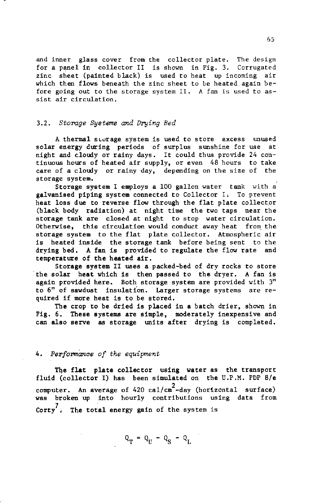and inner glass cover from the collector plate. The design for a panel in collector II is shown in Fig. 3. Corrugated zinc sheet (painted black) is used to heat up incoming air which then flows beneath the zinc sheet to be heated again before going out to the storage system II. A fan is used to assist air circulation.

#### 3.2. Storage Systems and Drying Bed

A thermal storage system is used to store excess unused solar energy during periods of surplus sunshine for use at night and cloudy or rainy days. It could thus provide 24 continuous hours of heated air supply, or even 48 hours to take care of a cloudy or rainy day, depending on the size of the storage system.

Storage system I employs a 100 gallon water tank with a galvanised piping system connected to Collector I. To prevent heat loss due to reverse flow through the flat plate collector (black body radiation) at night time the two taps near the storage tank are closed at night to stop water circulation. Otherwise, this circulation would conduct away heat from the storage system to the flat plate collector. Atmospheric air is heated inside the storage tank before being sent to the drying bed. A fan is provided to regulate the flow rate and temperature of the heated air.

Storage system II uses a packed-bed of dry rocks to store the solar heat which is then passed to the dryer. A fan is again provided here. Both storage system are provided with 3" to 6" of sawdust insulation. Larger storage systems are required if more heat is to be stored.

The crop to be dried is placed in a batch drier, shown in Fig. 6. These systems are simple, moderately inexpensive and can also serve as storage units after drying is completed.

# 4. Performance of the equipment

The flat plate collector using water as the transport fluid (collector I) has been simulated on the U.P.M. PDP 8/e computer. An average of 420 cal/cm<sup>2</sup>-day (horizontal surface) was broken up into hourly contributions using data from Corty<sup>7</sup>. The total energy gain of the system is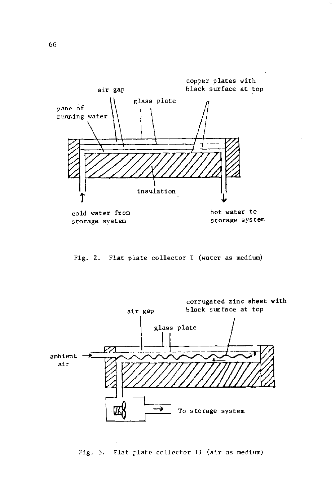

Fig. 2. Flat plate collector I (water as medium)



Fig. 3. Flat plate collector II (air as medium)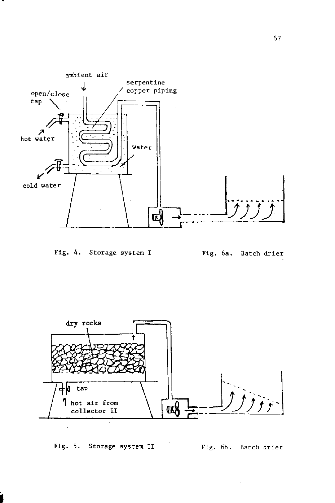

# Fig. 4. Storage system I





Fig. 5. Storage system II

Fig. 6b. Batch drier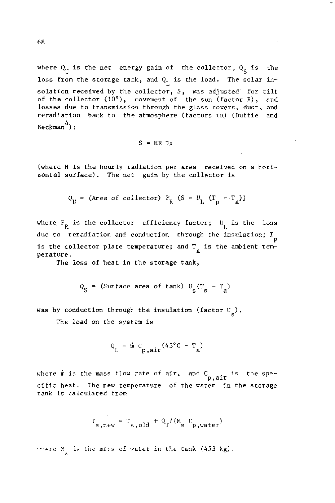where  $Q_{II}$  is the net energy gain of the collector,  $Q_{\rm g}$  is the loss from the storage tank, and  $Q_T$  is the load. The solar insolation received by the collector, S, was adjusted for tilt of the collector (10°), movement of the sun (factor R), and losses due to transmission through the glass covers, dust, and reradiation back to the atmosphere (factors  $\tau\alpha$ ) (Duffie and  $Beckman$ <sup>4</sup>):

$$
S = HR \tau \chi
$$

(where H is the hourly radiation per area received on a horizontal surface). The net gain by the collector is

$$
Q_U = (Area of collector) F_R (S - U_L (T_p - T_a))
$$

where  $F_R$  is the collector efficiency factor;  $U_T$  is the loss due to reradiation and conduction through the insulation;  $T_{\text{p}}$ is the collector plate temperature; and  $T_a$  is the ambient temperature.

The loss of heat in the storage tank,

$$
Q_c
$$
 = (Surface area of tank) U (T - T<sub>a</sub>)

was by conduction through the insulation (factor  $U_{\alpha}$ ).

The load on the system is

$$
Q_{\rm L} = \dot{m} C_{\rm p, air} (43^{\circ}C - T_{\rm a})
$$

where  $\dot{m}$  is the mass flow rate of air, and  $C_{p,air}$  is the specific heat. The new temperature of the water in the storage tank is calculated from

 $T_{s, new} = T_{s, old} + Q_T/(M_s C_{p, water})$ 

where  $M_{\mu}$  is the mass of water in the tank (453 kg).

68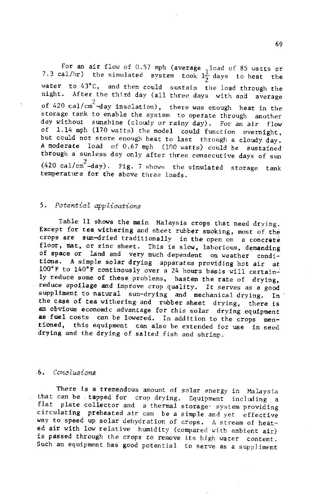For an air flow of 0.57 mph (average, load of 85 watts or 7.3 cal/hr) the simulated system took  $1\frac{1}{2}$  days to heat the water to 43"C, and then could sustain the load throush the night. After the third day (all three days with and average of 420 cal/cm<sup>2</sup>-day insolation), there was enough heat in the storage tank to enable the system to operate through another day without sunshine (cloudy or rainy day). For an air flow of 1.14 mph (170 watts) the model could function overnight, but could not store enough heat to last through a cloudy day. A moderate load of 0.67 mph (100 watts) could be sustained through a sunless day only after three consecutive days of sun  $(420 \text{ cal/cm}^2$ -day). Fig. 7 shows the simulated storage tank temperature for the above three loads.

# 5. Potential applications

Table II shows the main Malaysia crops that need drying. Except for tea withering and sheet rubber smoking, most of the crops are sun-dried traditionally in the open on a concrete floor, mat, or zinc sheet. This is slow, laborious, demanding of space or land and very much dependent on weather condi-<br>tions. A simple solar drying apparatus providing hot air at  $100^{\circ}$ F to  $140^{\circ}$ F continously over a 24 hours basis will certainly reduce some of these problems, hasten the rate of drying, reduce spollage and improve crop quality. It serves as a good suppliment to natural sun-drying and mechanical drying. In the case of tea withering and rubber sheet drying, there is an obvious economic advantage for this solar drying equipment as fuel costs can be lowered. In addition to the crops mentioned, this equipment can also be extended for use in seed drylng and the drytng of salred fish and shrimp.

#### 6, Canclusions

There is a tremendous amount of solar energy in Malaysia that can be . tapped for crop drying. Equipment including a flat plate collector and a thermal storage system providing circulating preheated air can be a simple and yet effective vay to speed up solar dehydration of crops. A stream of heated air with low relative humidity (compared with ambient air) ls passed through the crops to remove its high water content. Such an equlpnent has good potential to serve as a supplinent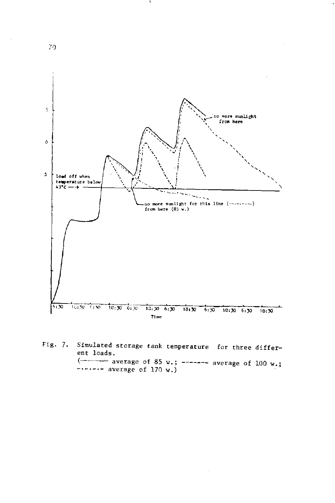

Fig. 7. Simulated storage tank temperature for three different loads.  $\longleftarrow$  average of 85 w.; ------ average of 100 w.;  $\cdots$  - average of 170 w.)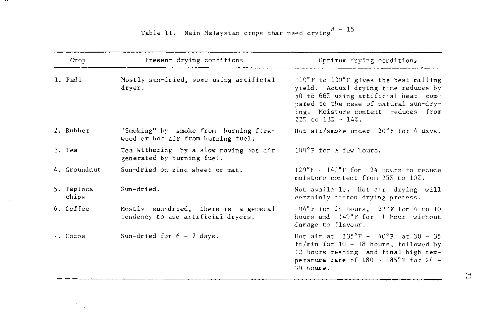| Crop                | Present drying conditions                                                   | Optimum drying conditions                                                                                                                                                                                                         |
|---------------------|-----------------------------------------------------------------------------|-----------------------------------------------------------------------------------------------------------------------------------------------------------------------------------------------------------------------------------|
| 1. Padi             | Mostly sun-dried, some using artificial<br>dryer.                           | 110°F to 130°F gives the best milling<br>yield. Actual drying time reduces by<br>50 to 66% using artificial heat com-<br>pared to the case of natural sun-dry-<br>ing. Moisture content reduces from<br>$22\%$ to $13\% - 14\%$ . |
| 2. Rubber           | "Smoking" by smoke from burning fire-<br>wood or hot air from burning fuel. | Hot air/smoke under $120^{\circ}$ F for 4 days.                                                                                                                                                                                   |
| 3. Tea              | Tea Withering by a slow moving hot air<br>generated by burning fuel.        | 100°F for a few hours.                                                                                                                                                                                                            |
| 4. Groundnut        | Sun-dried on zinc sheet or mat.                                             | $120^{\circ}$ F - $140^{\circ}$ F for 24 hours to reduce<br>moisture content from 25% to 10%.                                                                                                                                     |
| 5. Tapioca<br>chips | Sun-dried.                                                                  | Not available. Hot air drying will<br>certainly hasten drying process.                                                                                                                                                            |
| 6. Coffee           | Mostly sun-dried, there is a general<br>tendency to use artificial dryers.  | $104^{\circ}$ F for 24 hours, $122^{\circ}$ F for 4 to 10<br>hours and 140°F for 1 hour without<br>damage to flavour.                                                                                                             |
| 7. Cocoa            | Sun-dried for $6 - 7$ days.                                                 | Hot air at $135^{\circ}$ F - $140^{\circ}$ F at 30 - 35<br>ft/min for $10 - 18$ hours, followed by<br>12 hours resting and final high tem-<br>perature rate of $180 - 185$ °F for 24 -<br>30 hours.                               |

 $\label{eq:2.1} \mathcal{L}(\mathcal{L}^{\mathcal{L}}_{\mathcal{L}}(\mathcal{L}^{\mathcal{L}}_{\mathcal{L}})) = \mathcal{L}(\mathcal{L}^{\mathcal{L}}_{\mathcal{L}}(\mathcal{L}^{\mathcal{L}}_{\mathcal{L}})) = \mathcal{L}(\mathcal{L}^{\mathcal{L}}_{\mathcal{L}}(\mathcal{L}^{\mathcal{L}}_{\mathcal{L}}))$ 

Table II. Main Malaysian crops that need drying  $8 - 15$ 

and the state of the con-

 $\epsilon$ 

 $\sim$ 

 $\sim 10$ 

 $\label{eq:2} \frac{1}{\sqrt{2}}\sum_{i=1}^n\frac{1}{\sqrt{2\pi}}\sum_{i=1}^n\frac{1}{\sqrt{2\pi}}\sum_{i=1}^n\frac{1}{\sqrt{2\pi}}\sum_{i=1}^n\frac{1}{\sqrt{2\pi}}\sum_{i=1}^n\frac{1}{\sqrt{2\pi}}\sum_{i=1}^n\frac{1}{\sqrt{2\pi}}\sum_{i=1}^n\frac{1}{\sqrt{2\pi}}\sum_{i=1}^n\frac{1}{\sqrt{2\pi}}\sum_{i=1}^n\frac{1}{\sqrt{2\pi}}\sum_{i=1}^n\frac{1}{$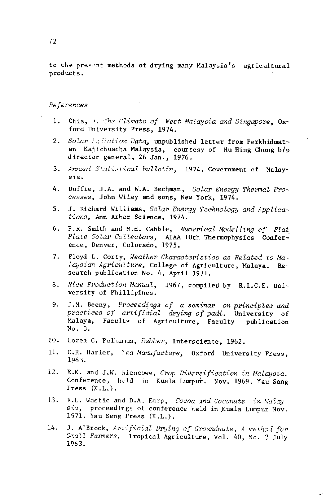to the present methods of drying many Malaysia's agricultural products.

### References

- Chia, i. The Climate of West Malaysia and Singapore, Ox-1. ford University Press, 1974.
- $2.$ Solar ladiation Data, unpublished letter from Perkhidmatan Kajichuacha Malaysia, courtesy of Hu Hing Chong b/p director general, 26 Jan., 1976.
- Annual Statistical Bulletin, 1974. Government of Malay-3. sia.
- 4. Duffie, J.A. and W.A. Bechman, Solar Energy Thermal Processes, John Wiley and sons, New York, 1974.
- J. Richard Williams, Solar Energy Technology and Applica- $5.$ tions, Ann Arbor Science, 1974.
- P.R. Smith and M.H. Cabble, Numerical Modelling of Flat 6. Plate Solar Collectors, AIAA 10th Thermophysics Confer-<br>ence, Denver, Colorado, 1975.
- 7. Floyd L. Corty, Weather Characteristics as Related to Malaysian Agriculture, College of Agriculture, Malaya. Research publication No. 4, April 1971.
- 8. Rice Production Manual, 1967, compiled by R.I.C.E. University of Phillipines.
- J.M. Beeny, Proceedings of a seminar on principles and 9. practices of artificial drying of padi. University of Malaya, Faculty of Agriculture, Faculty publication No. 3.
- Loren G. Polhamus, Rubber, Interscience, 1962.  $10.$
- 11. C.R. Harler, Tea Manufacture, Oxford University Press, 1963.
- E.K. and J.W. Blencowe, Crop Diversification in Malaysia. 12. Conference, held in Kuala Lumpur. Nov. 1969. Yau Seng Press  $(K.L.)$ .
- $13.$ R.L. Wastic and D.A. Earp, Cocoa and Coconuts in Malay sia, proceedings of conference held in Kuala Lumpur Nov. 1971. Yau Seng Press (K.L.).
- J. A'Brook, Artificial Drying of Groundnuts, A method for 14. Small Farmers. Tropical Agriculture, Vol. 40, No. 3 July 1963.